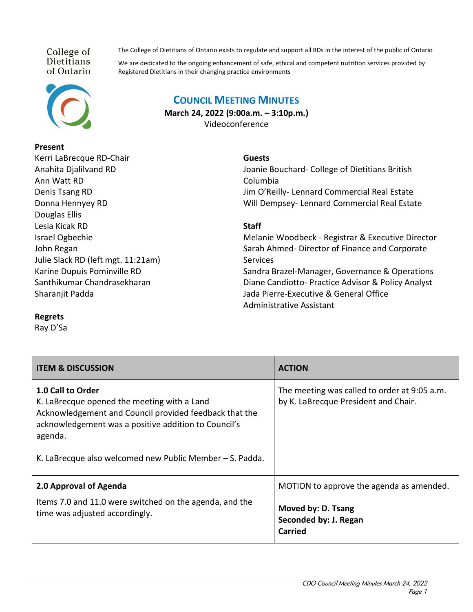College of Dietitians of Ontario



#### **Present**

Kerri LaBrecque RD-Chair Anahita Djalilvand RD Ann Watt RD Denis Tsang RD Donna Hennyey RD Douglas Ellis Lesia Kicak RD Israel Ogbechie John Regan Julie Slack RD (left mgt. 11:21am) Karine Dupuis Pominville RD Santhikumar Chandrasekharan Sharanjit Padda

The College of Dietitians of Ontario exists to regulate and support all RDs in the interest of the public of Ontario

We are dedicated to the ongoing enhancement of safe, ethical and competent nutrition services provided by Registered Dietitians in their changing practice environments

# **COUNCIL MEETING MINUTES**

**March 24, 2022 (9:00a.m. – 3:10p.m.)** Videoconference

#### **Guests**

Joanie Bouchard- College of Dietitians British Columbia Jim O'Reilly- Lennard Commercial Real Estate Will Dempsey- Lennard Commercial Real Estate

## **Staff**

Melanie Woodbeck - Registrar & Executive Director Sarah Ahmed- Director of Finance and Corporate **Services** Sandra Brazel-Manager, Governance & Operations Diane Candiotto- Practice Advisor & Policy Analyst Jada Pierre-Executive & General Office Administrative Assistant

### **Regrets**

Ray D'Sa

| <b>ITEM &amp; DISCUSSION</b>                                                                                                                                                                                                                              | <b>ACTION</b>                                                                        |
|-----------------------------------------------------------------------------------------------------------------------------------------------------------------------------------------------------------------------------------------------------------|--------------------------------------------------------------------------------------|
| 1.0 Call to Order<br>K. LaBrecque opened the meeting with a Land<br>Acknowledgement and Council provided feedback that the<br>acknowledgement was a positive addition to Council's<br>agenda.<br>K. LaBrecque also welcomed new Public Member - S. Padda. | The meeting was called to order at 9:05 a.m.<br>by K. LaBrecque President and Chair. |
| 2.0 Approval of Agenda                                                                                                                                                                                                                                    | MOTION to approve the agenda as amended.                                             |
| Items 7.0 and 11.0 were switched on the agenda, and the<br>time was adjusted accordingly.                                                                                                                                                                 | Moved by: D. Tsang<br>Seconded by: J. Regan<br>Carried                               |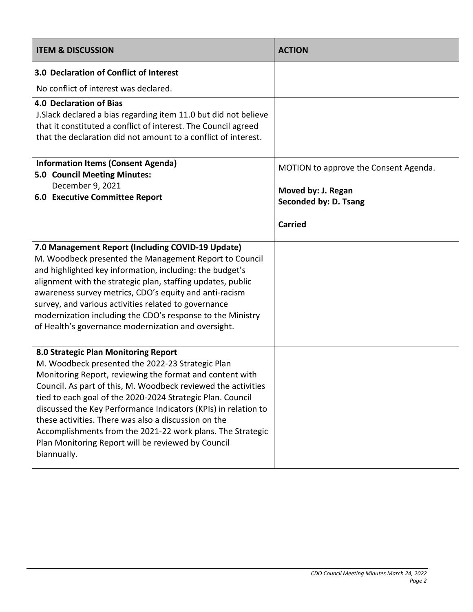| <b>ITEM &amp; DISCUSSION</b>                                                                                                                                                                                                                                                                                                                                                                                                                                                                                                                     | <b>ACTION</b>                                                                                          |
|--------------------------------------------------------------------------------------------------------------------------------------------------------------------------------------------------------------------------------------------------------------------------------------------------------------------------------------------------------------------------------------------------------------------------------------------------------------------------------------------------------------------------------------------------|--------------------------------------------------------------------------------------------------------|
| 3.0 Declaration of Conflict of Interest                                                                                                                                                                                                                                                                                                                                                                                                                                                                                                          |                                                                                                        |
| No conflict of interest was declared.                                                                                                                                                                                                                                                                                                                                                                                                                                                                                                            |                                                                                                        |
| <b>4.0 Declaration of Bias</b><br>J. Slack declared a bias regarding item 11.0 but did not believe<br>that it constituted a conflict of interest. The Council agreed<br>that the declaration did not amount to a conflict of interest.                                                                                                                                                                                                                                                                                                           |                                                                                                        |
| <b>Information Items (Consent Agenda)</b><br>5.0 Council Meeting Minutes:<br>December 9, 2021<br><b>6.0 Executive Committee Report</b>                                                                                                                                                                                                                                                                                                                                                                                                           | MOTION to approve the Consent Agenda.<br>Moved by: J. Regan<br>Seconded by: D. Tsang<br><b>Carried</b> |
| 7.0 Management Report (Including COVID-19 Update)<br>M. Woodbeck presented the Management Report to Council<br>and highlighted key information, including: the budget's<br>alignment with the strategic plan, staffing updates, public<br>awareness survey metrics, CDO's equity and anti-racism<br>survey, and various activities related to governance<br>modernization including the CDO's response to the Ministry<br>of Health's governance modernization and oversight.                                                                    |                                                                                                        |
| 8.0 Strategic Plan Monitoring Report<br>M. Woodbeck presented the 2022-23 Strategic Plan<br>Monitoring Report, reviewing the format and content with<br>Council. As part of this, M. Woodbeck reviewed the activities<br>tied to each goal of the 2020-2024 Strategic Plan. Council<br>discussed the Key Performance Indicators (KPIs) in relation to<br>these activities. There was also a discussion on the<br>Accomplishments from the 2021-22 work plans. The Strategic<br>Plan Monitoring Report will be reviewed by Council<br>biannually. |                                                                                                        |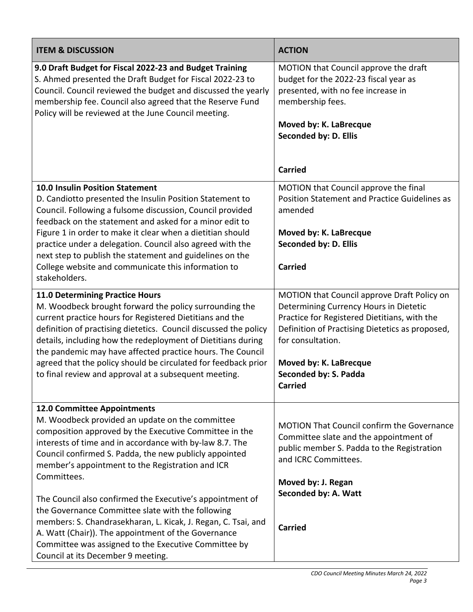| <b>ITEM &amp; DISCUSSION</b>                                                                                                                                                                                                                                                                                                                                                                                                                                                              | <b>ACTION</b>                                                                                                                                                                                                                                                    |
|-------------------------------------------------------------------------------------------------------------------------------------------------------------------------------------------------------------------------------------------------------------------------------------------------------------------------------------------------------------------------------------------------------------------------------------------------------------------------------------------|------------------------------------------------------------------------------------------------------------------------------------------------------------------------------------------------------------------------------------------------------------------|
| 9.0 Draft Budget for Fiscal 2022-23 and Budget Training<br>S. Ahmed presented the Draft Budget for Fiscal 2022-23 to<br>Council. Council reviewed the budget and discussed the yearly<br>membership fee. Council also agreed that the Reserve Fund<br>Policy will be reviewed at the June Council meeting.                                                                                                                                                                                | MOTION that Council approve the draft<br>budget for the 2022-23 fiscal year as<br>presented, with no fee increase in<br>membership fees.<br>Moved by: K. LaBrecque<br>Seconded by: D. Ellis                                                                      |
|                                                                                                                                                                                                                                                                                                                                                                                                                                                                                           | <b>Carried</b>                                                                                                                                                                                                                                                   |
| <b>10.0 Insulin Position Statement</b><br>D. Candiotto presented the Insulin Position Statement to<br>Council. Following a fulsome discussion, Council provided<br>feedback on the statement and asked for a minor edit to<br>Figure 1 in order to make it clear when a dietitian should<br>practice under a delegation. Council also agreed with the<br>next step to publish the statement and guidelines on the                                                                         | MOTION that Council approve the final<br>Position Statement and Practice Guidelines as<br>amended<br>Moved by: K. LaBrecque<br>Seconded by: D. Ellis                                                                                                             |
| College website and communicate this information to<br>stakeholders.                                                                                                                                                                                                                                                                                                                                                                                                                      | <b>Carried</b>                                                                                                                                                                                                                                                   |
| <b>11.0 Determining Practice Hours</b><br>M. Woodbeck brought forward the policy surrounding the<br>current practice hours for Registered Dietitians and the<br>definition of practising dietetics. Council discussed the policy<br>details, including how the redeployment of Dietitians during<br>the pandemic may have affected practice hours. The Council<br>agreed that the policy should be circulated for feedback prior<br>to final review and approval at a subsequent meeting. | MOTION that Council approve Draft Policy on<br>Determining Currency Hours in Dietetic<br>Practice for Registered Dietitians, with the<br>Definition of Practising Dietetics as proposed,<br>for consultation.<br>Moved by: K. LaBrecque<br>Seconded by: S. Padda |
|                                                                                                                                                                                                                                                                                                                                                                                                                                                                                           | <b>Carried</b>                                                                                                                                                                                                                                                   |
| 12.0 Committee Appointments<br>M. Woodbeck provided an update on the committee<br>composition approved by the Executive Committee in the<br>interests of time and in accordance with by-law 8.7. The<br>Council confirmed S. Padda, the new publicly appointed<br>member's appointment to the Registration and ICR<br>Committees.                                                                                                                                                         | <b>MOTION That Council confirm the Governance</b><br>Committee slate and the appointment of<br>public member S. Padda to the Registration<br>and ICRC Committees.                                                                                                |
| The Council also confirmed the Executive's appointment of<br>the Governance Committee slate with the following<br>members: S. Chandrasekharan, L. Kicak, J. Regan, C. Tsai, and<br>A. Watt (Chair)). The appointment of the Governance<br>Committee was assigned to the Executive Committee by<br>Council at its December 9 meeting.                                                                                                                                                      | Moved by: J. Regan<br>Seconded by: A. Watt<br><b>Carried</b>                                                                                                                                                                                                     |